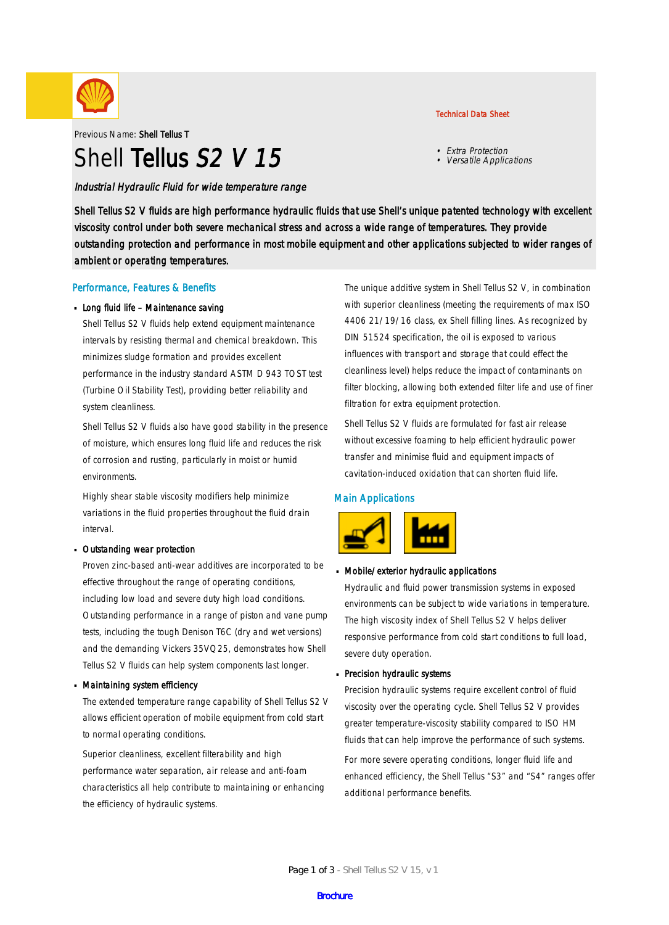

Previous Name: Shell Tellus T

# Shell Tellus S<sub>2</sub> V 15

### Industrial Hydraulic Fluid for wide temperature range

#### Technical Data Sheet

- Extra Protection
- Versatile Applications

Shell Tellus S2 V fluids are high performance hydraulic fluids that use Shell's unique patented technology with excellent viscosity control under both severe mechanical stress and across a wide range of temperatures. They provide outstanding protection and performance in most mobile equipment and other applications subjected to wider ranges of ambient or operating temperatures.

### Performance, Features & Benefits

#### Long fluid life - Maintenance saving

Shell Tellus S2 V fluids help extend equipment maintenance intervals by resisting thermal and chemical breakdown. This minimizes sludge formation and provides excellent performance in the industry standard ASTM D 943 TOST test (Turbine Oil Stability Test), providing better reliability and system cleanliness.

Shell Tellus S2 V fluids also have good stability in the presence of moisture, which ensures long fluid life and reduces the risk of corrosion and rusting, particularly in moist or humid environments.

Highly shear stable viscosity modifiers help minimize variations in the fluid properties throughout the fluid drain interval.

#### Outstanding wear protection ·

Proven zinc-based anti-wear additives are incorporated to be effective throughout the range of operating conditions, including low load and severe duty high load conditions. Outstanding performance in a range of piston and vane pump tests, including the tough Denison T6C (dry and wet versions) and the demanding Vickers 35VQ25, demonstrates how Shell Tellus S2 V fluids can help system components last longer.

### Maintaining system efficiency ·

The extended temperature range capability of Shell Tellus S2 V allows efficient operation of mobile equipment from cold start to normal operating conditions.

Superior cleanliness, excellent filterability and high performance water separation, air release and anti-foam characteristics all help contribute to maintaining or enhancing the efficiency of hydraulic systems.

The unique additive system in Shell Tellus S2 V, in combination with superior cleanliness (meeting the requirements of max ISO 4406 21/19/16 class, ex Shell filling lines. As recognized by DIN 51524 specification, the oil is exposed to various influences with transport and storage that could effect the cleanliness level) helps reduce the impact of contaminants on filter blocking, allowing both extended filter life and use of finer filtration for extra equipment protection.

Shell Tellus S2 V fluids are formulated for fast air release without excessive foaming to help efficient hydraulic power transfer and minimise fluid and equipment impacts of cavitation-induced oxidation that can shorten fluid life.

### Main Applications



#### Mobile/exterior hydraulic applications ·

Hydraulic and fluid power transmission systems in exposed environments can be subject to wide variations in temperature. The high viscosity index of Shell Tellus S2 V helps deliver responsive performance from cold start conditions to full load, severe duty operation.

# Precision hydraulic systems ·

Precision hydraulic systems require excellent control of fluid viscosity over the operating cycle. Shell Tellus S2 V provides greater temperature-viscosity stability compared to ISO HM fluids that can help improve the performance of such systems.

For more severe operating conditions, longer fluid life and enhanced efficiency, the Shell Tellus "S3" and "S4" ranges offer additional performance benefits.

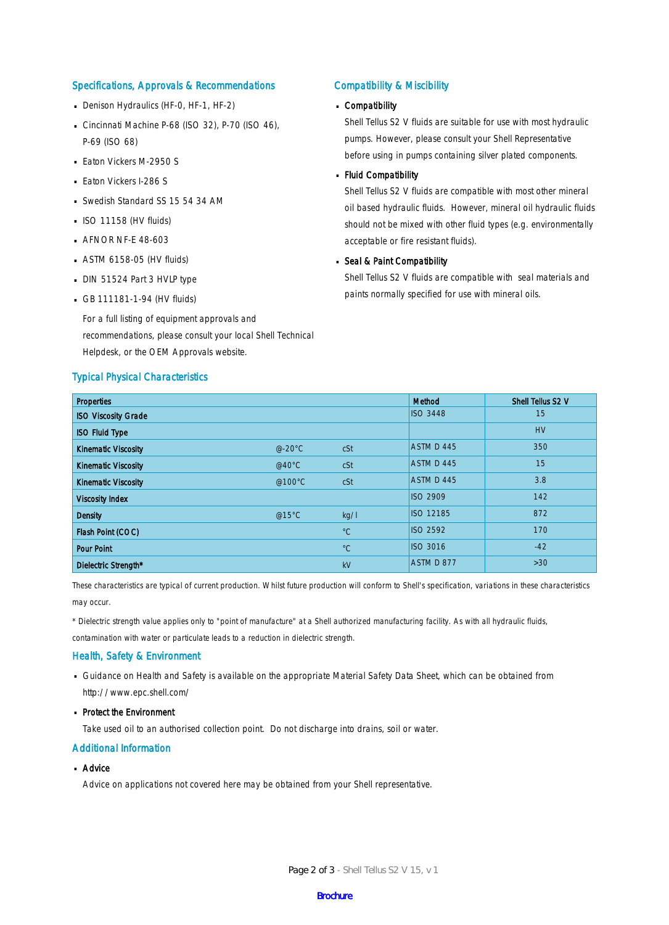### Specifications, Approvals & Recommendations

- Denison Hydraulics (HF-0, HF-1, HF-2)
- Cincinnati Machine P-68 (ISO 32), P-70 (ISO 46), P-69 (ISO 68)
- **Eaton Vickers M-2950 S**
- **Eaton Vickers I-286 S**
- Swedish Standard SS 15 54 34 AM
- $\blacksquare$  ISO 11158 (HV fluids)
- **AFNOR NF-E 48-603**
- $-$  ASTM 6158-05 (HV fluids)
- DIN 51524 Part 3 HVLP type
- $-$  GB 111181-1-94 (HV fluids)

For a full listing of equipment approvals and recommendations, please consult your local Shell Technical Helpdesk, or the OEM Approvals website.

### Typical Physical Characteristics

#### Compatibility & Miscibility

# Compatibility ·

Shell Tellus S2 V fluids are suitable for use with most hydraulic pumps. However, please consult your Shell Representative before using in pumps containing silver plated components.

# - Fluid Compatibility

Shell Tellus S2 V fluids are compatible with most other mineral oil based hydraulic fluids. However, mineral oil hydraulic fluids should not be mixed with other fluid types (e.g. environmentally acceptable or fire resistant fluids).

# Seal & Paint Compatibility

Shell Tellus S2 V fluids are compatible with seal materials and paints normally specified for use with mineral oils.

| <b>Properties</b>          |                  |             | Method           | Shell Tellus S2 V |
|----------------------------|------------------|-------------|------------------|-------------------|
| <b>ISO Viscosity Grade</b> |                  |             | <b>ISO 3448</b>  | 15                |
| <b>ISO Fluid Type</b>      |                  |             |                  | <b>HV</b>         |
| <b>Kinematic Viscosity</b> | $@-20°C$         | cSt         | ASTM D 445       | 350               |
| <b>Kinematic Viscosity</b> | @40 $^{\circ}$ C | cSt         | ASTM D 445       | 15                |
| <b>Kinematic Viscosity</b> | @100°C           | cSt         | ASTM D 445       | 3.8               |
| <b>Viscosity Index</b>     |                  |             | <b>ISO 2909</b>  | 142               |
| <b>Density</b>             | @15°C            | kg/l        | <b>ISO 12185</b> | 872               |
| Flash Point (COC)          |                  | $^{\circ}C$ | <b>ISO 2592</b>  | 170               |
| <b>Pour Point</b>          |                  | $^{\circ}C$ | <b>ISO 3016</b>  | $-42$             |
| Dielectric Strength*       |                  | kV          | ASTM D 877       | $>30$             |

These characteristics are typical of current production. Whilst future production will conform to Shell's specification, variations in these characteristics may occur.

\* Dielectric strength value applies only to "point of manufacture" at a Shell authorized manufacturing facility. As with all hydraulic fluids,

contamination with water or particulate leads to a reduction in dielectric strength.

#### Health, Safety & Environment

■ Guidance on Health and Safety is available on the appropriate Material Safety Data Sheet, which can be obtained from http://www.epc.shell.com/

# • Protect the Environment

Take used oil to an authorised collection point. Do not discharge into drains, soil or water.

### Additional Information

# ■ Advice

Advice on applications not covered here may be obtained from your Shell representative.